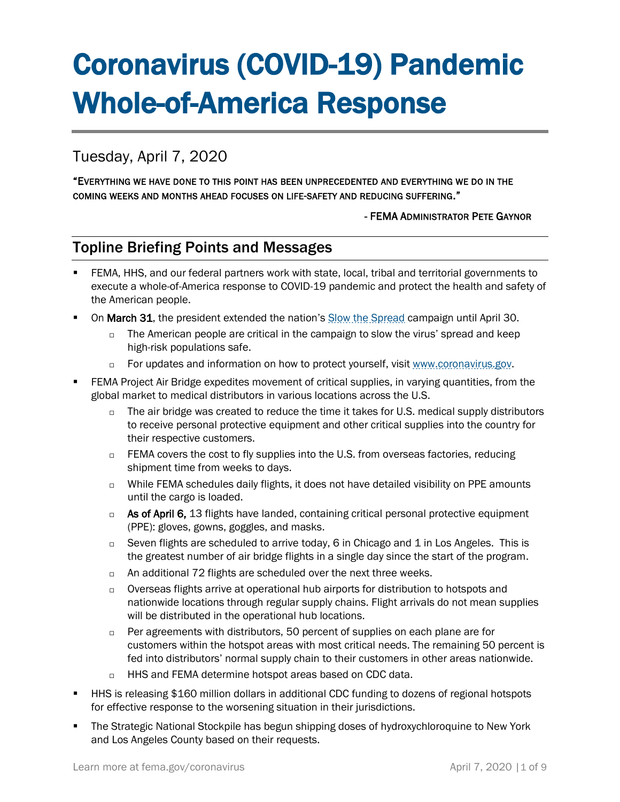# Coronavirus (COVID-19) Pandemic Whole-of-America Response

# Tuesday, April 7, 2020

"EVERYTHING WE HAVE DONE TO THIS POINT HAS BEEN UNPRECEDENTED AND EVERYTHING WE DO IN THE COMING WEEKS AND MONTHS AHEAD FOCUSES ON LIFE-SAFETY AND REDUCING SUFFERING."

#### - FEMA ADMINISTRATOR PETE GAYNOR

## Topline Briefing Points and Messages

- FEMA, HHS, and our federal partners work with state, local, tribal and territorial governments to execute a whole-of-America response to COVID-19 pandemic and protect the health and safety of the American people.
- **On March 31, the president extended the nation's [Slow the Spread](https://www.coronavirus.gov/) campaign until April 30.** 
	- $\Box$  The American people are critical in the campaign to slow the virus' spread and keep high-risk populations safe.
	- For updates and information on how to protect yourself, visi[t www.coronavirus.gov.](http://www.coronavirus.gov/)
- FEMA Project Air Bridge expedites movement of critical supplies, in varying quantities, from the global market to medical distributors in various locations across the U.S.
	- $\Box$  The air bridge was created to reduce the time it takes for U.S. medical supply distributors to receive personal protective equipment and other critical supplies into the country for their respective customers.
	- $\Box$  FEMA covers the cost to fly supplies into the U.S. from overseas factories, reducing shipment time from weeks to days.
	- $\Box$  While FEMA schedules daily flights, it does not have detailed visibility on PPE amounts until the cargo is loaded.
	- $\Box$  As of April 6, 13 flights have landed, containing critical personal protective equipment (PPE): gloves, gowns, goggles, and masks.
	- $\Box$  Seven flights are scheduled to arrive today, 6 in Chicago and 1 in Los Angeles. This is the greatest number of air bridge flights in a single day since the start of the program.
	- □ An additional 72 flights are scheduled over the next three weeks.
	- $\Box$  Overseas flights arrive at operational hub airports for distribution to hotspots and nationwide locations through regular supply chains. Flight arrivals do not mean supplies will be distributed in the operational hub locations.
	- $\Box$  Per agreements with distributors, 50 percent of supplies on each plane are for customers within the hotspot areas with most critical needs. The remaining 50 percent is fed into distributors' normal supply chain to their customers in other areas nationwide.
	- □ HHS and FEMA determine hotspot areas based on CDC data.
- HHS is releasing \$160 million dollars in additional CDC funding to dozens of regional hotspots for effective response to the worsening situation in their jurisdictions.
- The Strategic National Stockpile has begun shipping doses of hydroxychloroquine to New York and Los Angeles County based on their requests.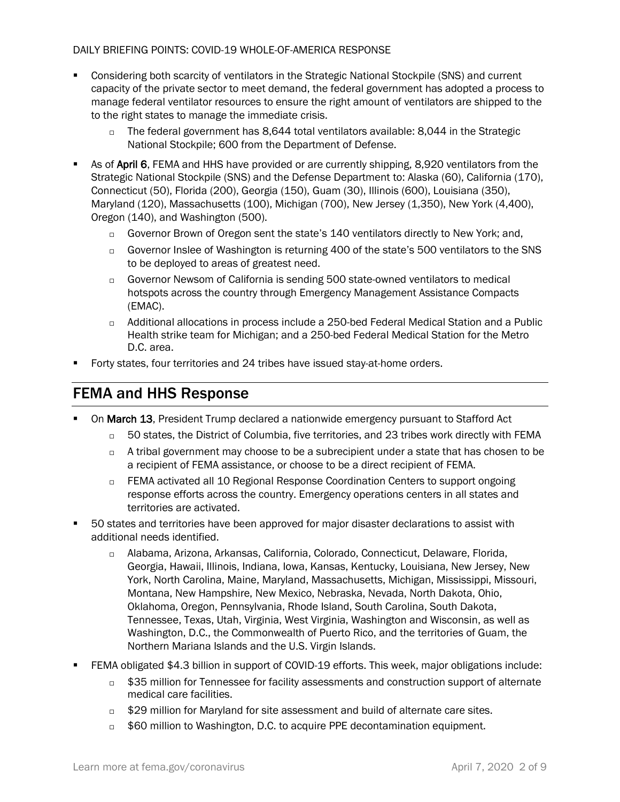- Considering both scarcity of ventilators in the Strategic National Stockpile (SNS) and current capacity of the private sector to meet demand, the federal government has adopted a process to manage federal ventilator resources to ensure the right amount of ventilators are shipped to the to the right states to manage the immediate crisis.
	- $\Box$  The federal government has 8,644 total ventilators available: 8,044 in the Strategic National Stockpile; 600 from the Department of Defense.
- **EXECT AS OF April 6, FEMA and HHS have provided or are currently shipping, 8,920 ventilators from the** Strategic National Stockpile (SNS) and the Defense Department to: Alaska (60), California (170), Connecticut (50), Florida (200), Georgia (150), Guam (30), Illinois (600), Louisiana (350), Maryland (120), Massachusetts (100), Michigan (700), New Jersey (1,350), New York (4,400), Oregon (140), and Washington (500).
	- Governor Brown of Oregon sent the state's 140 ventilators directly to New York; and,
	- Governor Inslee of Washington is returning 400 of the state's 500 ventilators to the SNS to be deployed to areas of greatest need.
	- Governor Newsom of California is sending 500 state-owned ventilators to medical hotspots across the country through Emergency Management Assistance Compacts (EMAC).
	- Additional allocations in process include a 250-bed Federal Medical Station and a Public Health strike team for Michigan; and a 250-bed Federal Medical Station for the Metro D.C. area.
- Forty states, four territories and 24 tribes have issued stay-at-home orders.

## FEMA and HHS Response

- On March 13, President Trump declared a nationwide emergency pursuant to Stafford Act
	- $\Box$  50 states, the District of Columbia, five territories, and 23 tribes work directly with FEMA
	- $\Box$  A tribal government may choose to be a subrecipient under a state that has chosen to be a recipient of FEMA assistance, or choose to be a direct recipient of FEMA.
	- □ FEMA activated all 10 Regional Response Coordination Centers to support ongoing response efforts across the country. Emergency operations centers in all states and territories are activated.
- 50 states and territories have been approved for major disaster declarations to assist with additional needs identified.
	- Alabama, Arizona, Arkansas, California, Colorado, Connecticut, Delaware, Florida, Georgia, Hawaii, Illinois, Indiana, Iowa, Kansas, Kentucky, Louisiana, New Jersey, New York, North Carolina, Maine, Maryland, Massachusetts, Michigan, Mississippi, Missouri, Montana, New Hampshire, New Mexico, Nebraska, Nevada, North Dakota, Ohio, Oklahoma, Oregon, Pennsylvania, Rhode Island, South Carolina, South Dakota, Tennessee, Texas, Utah, Virginia, West Virginia, Washington and Wisconsin, as well as Washington, D.C., the Commonwealth of Puerto Rico, and the territories of Guam, the Northern Mariana Islands and the U.S. Virgin Islands.
- FEMA obligated \$4.3 billion in support of COVID-19 efforts. This week, major obligations include:
	- $\Box$  \$35 million for Tennessee for facility assessments and construction support of alternate medical care facilities.
	- $\Box$  \$29 million for Maryland for site assessment and build of alternate care sites.
	- $\Box$  \$60 million to Washington, D.C. to acquire PPE decontamination equipment.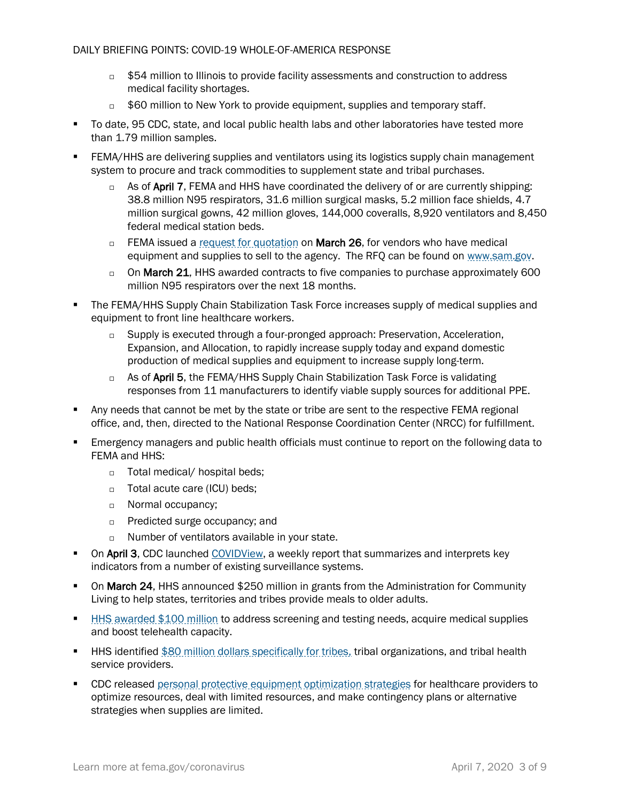- $\Box$  \$54 million to Illinois to provide facility assessments and construction to address medical facility shortages.
- **500 million to New York to provide equipment, supplies and temporary staff.**
- To date, 95 CDC, state, and local public health labs and other laboratories have tested more than 1.79 million samples.
- FEMA/HHS are delivering supplies and ventilators using its logistics supply chain management system to procure and track commodities to supplement state and tribal purchases.
	- $\Box$  As of April 7, FEMA and HHS have coordinated the delivery of or are currently shipping: 38.8 million N95 respirators, 31.6 million surgical masks, 5.2 million face shields, 4.7 million surgical gowns, 42 million gloves, 144,000 coveralls, 8,920 ventilators and 8,450 federal medical station beds.
	- □ FEMA issued a [request for quotation](https://beta.sam.gov/opp/3e05e664e606486ca34d1a41b47ff0ff/view) on March 26, for vendors who have medical equipment and supplies to sell to the agency. The RFQ can be found on [www.sam.gov.](http://www.sam.gov/)
	- $\Box$  On March 21, HHS awarded contracts to five companies to purchase approximately 600 million N95 respirators over the next 18 months.
- The FEMA/HHS Supply Chain Stabilization Task Force increases supply of medical supplies and equipment to front line healthcare workers.
	- □ Supply is executed through a four-pronged approach: Preservation, Acceleration, Expansion, and Allocation, to rapidly increase supply today and expand domestic production of medical supplies and equipment to increase supply long-term.
	- $\Box$  As of April 5, the FEMA/HHS Supply Chain Stabilization Task Force is validating responses from 11 manufacturers to identify viable supply sources for additional PPE.
- Any needs that cannot be met by the state or tribe are sent to the respective FEMA regional office, and, then, directed to the National Response Coordination Center (NRCC) for fulfillment.
- **Emergency managers and public health officials must continue to report on the following data to** FEMA and HHS:
	- □ Total medical/ hospital beds;
	- □ Total acute care (ICU) beds;
	- **Normal occupancy;**
	- □ Predicted surge occupancy; and
	- $\Box$  Number of ventilators available in your state.
- **On April 3, CDC** launched [COVIDView,](https://www.cdc.gov/coronavirus/2019-ncov/covid-data/covidview.html) a weekly report that summarizes and interprets key indicators from a number of existing surveillance systems.
- **On March 24, HHS announced \$250 million in grants from the Administration for Community** Living to help states, territories and tribes provide meals to older adults.
- **EXTERN 19 amonglem and THS awarded \$100 million to address screening and testing needs, acquire medical supplies** and boost telehealth capacity.
- **■** HHS identified [\\$80 million dollars specifically for tribes,](https://www.hhs.gov/about/news/2020/03/20/hhs-announces-upcoming-action-to-provide-funding-to-tribes-for-covid-19-response.html) tribal organizations, and tribal health service providers.
- CDC released [personal protective equipment optimization strategies](https://www.cdc.gov/coronavirus/2019-ncov/hcp/ppe-strategy/index.html) for healthcare providers to optimize resources, deal with limited resources, and make contingency plans or alternative strategies when supplies are limited.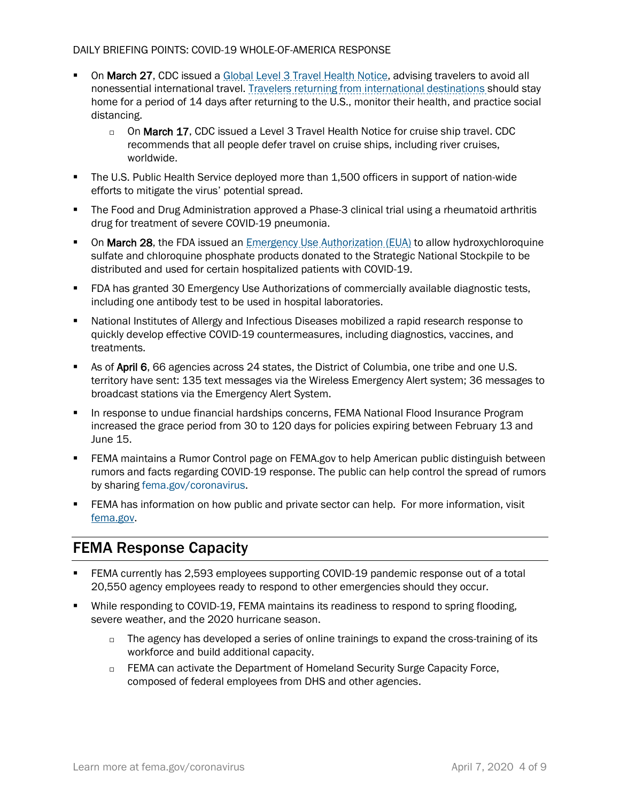- **On March 27, CDC** issued a [Global Level 3 Travel Health Notice,](https://wwwnc.cdc.gov/travel/notices/warning/coronavirus-global) advising travelers to avoid all nonessential international travel. [Travelers returning from international destinations](https://www.cdc.gov/coronavirus/2019-ncov/travelers/after-travel-precautions.html) should stay home for a period of 14 days after returning to the U.S., monitor their health, and practice social distancing.
	- $\Box$  On March 17, CDC issued a Level 3 [Travel Health Notice for cruise ship travel.](https://wwwnc.cdc.gov/travel/notices/warning/coronavirus-cruise-ship) CDC recommends that all people defer travel on cruise ships, including river cruises, worldwide.
- The U.S. Public Health Service deployed more than 1,500 officers in support of nation-wide efforts to mitigate the virus' potential spread.
- The Food and Drug Administration approved a Phase-3 clinical trial using a rheumatoid arthritis drug for treatment of severe COVID-19 pneumonia.
- **On March 28, the FDA issued an Emergency Use [Authorization \(EUA\)](https://www.fda.gov/emergency-preparedness-and-response/mcm-legal-regulatory-and-policy-framework/emergency-use-authorization#covidtherapeutics) to allow hydroxychloroquine** sulfate and chloroquine phosphate products donated to the Strategic National Stockpile to be distributed and used for certain hospitalized patients with COVID-19.
- **FDA has granted 30 Emergency Use Authorizations of commercially available diagnostic tests,** including one antibody test to be used in hospital laboratories.
- National Institutes of Allergy and Infectious Diseases mobilized a rapid research response to quickly develop effective COVID-19 countermeasures, including diagnostics, vaccines, and treatments.
- As of April 6, 66 agencies across 24 states, the District of Columbia, one tribe and one U.S. territory have sent: 135 text messages via the Wireless Emergency Alert system; 36 messages to broadcast stations via the Emergency Alert System.
- **In response to undue financial hardships concerns, FEMA National Flood Insurance Program** increased the grace period from 30 to 120 days for policies expiring between February 13 and June 15.
- FEMA maintains a Rumor Control page on FEMA.gov to help American public distinguish between rumors and facts regarding COVID-19 response. The public can help control the spread of rumors by sharing [fema.gov/coronavirus.](https://www.fema.gov/coronavirus-rumor-control)
- **EEMA** has information on how public and private sector can help. For more information, visit [fema.gov.](file:///C:/Users/mtaglie1/Desktop/fema.gov/coronavirus/how-to-help)

# FEMA Response Capacity

- FEMA currently has 2,593 employees supporting COVID-19 pandemic response out of a total 20,550 agency employees ready to respond to other emergencies should they occur.
- **•** While responding to COVID-19, FEMA maintains its readiness to respond to spring flooding, severe weather, and the 2020 hurricane season.
	- $\Box$  The agency has developed a series of online trainings to expand the cross-training of its workforce and build additional capacity.
	- □ FEMA can activate the Department of Homeland Security Surge Capacity Force, composed of federal employees from DHS and other agencies.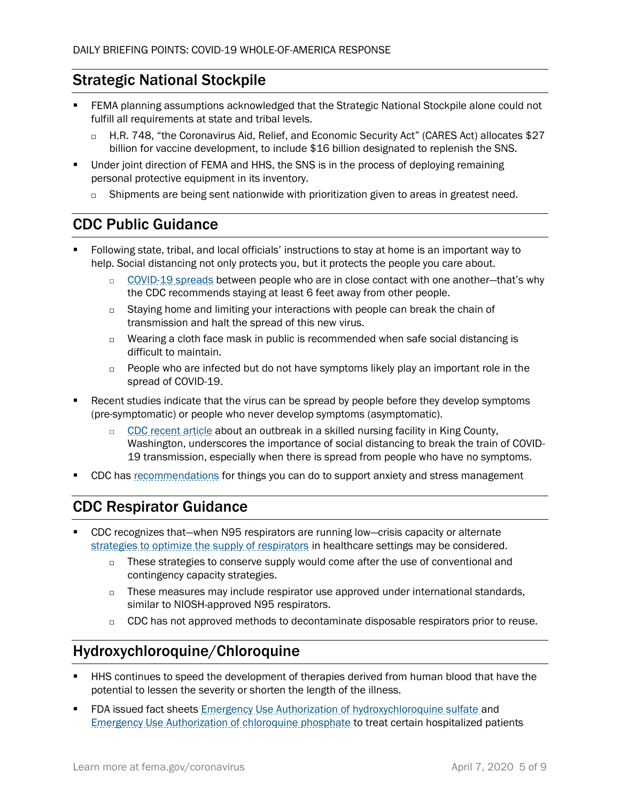# Strategic National Stockpile

- FEMA planning assumptions acknowledged that the Strategic National Stockpile alone could not fulfill all requirements at state and tribal levels.
	- □ H.R. 748, "the Coronavirus Aid, Relief, and Economic Security Act" (CARES Act) allocates \$27 billion for vaccine development, to include \$16 billion designated to replenish the SNS.
- Under joint direction of FEMA and HHS, the SNS is in the process of deploying remaining personal protective equipment in its inventory.
	- □ Shipments are being sent nationwide with prioritization given to areas in greatest need.

## CDC Public Guidance

- Following state, tribal, and local officials' instructions to stay at home is an important way to help. Social distancing not only protects you, but it protects the people you care about.
	- $\Box$  [COVID-19 spreads](https://www.cdc.gov/coronavirus/2019-ncov/prepare/prevention.html) between people who are in close contact with one another-that's why the CDC recommends staying at least 6 feet away from other people.
	- $\Box$  Staying home and limiting your interactions with people can break the chain of transmission and halt the spread of this new virus.
	- $\Box$  Wearing a cloth face mask in public is recommended when safe social distancing is difficult to maintain.
	- $\Box$  People who are infected but do not have symptoms likely play an important role in the spread of COVID-19.
- Recent studies indicate that the virus can be spread by people before they develop symptoms (pre-symptomatic) or people who never develop symptoms (asymptomatic).
	- $\Box$  CDC [recent article](https://www.cdc.gov/mmwr/volumes/69/wr/mm6912e1.htm) about an outbreak in a skilled nursing facility in King County, Washington, underscores the importance of social distancing to break the train of COVID-19 transmission, especially when there is spread from people who have no symptoms.
- CDC has [recommendations](https://www.cdc.gov/coronavirus/2019-ncov/prepare/managing-stress-anxiety.html) for things you can do to support anxiety and stress management

# CDC Respirator Guidance

- CDC recognizes that—when N95 respirators are running low—crisis capacity or alternate [strategies to optimize the supply of respirators](https://www.cdc.gov/coronavirus/2019-ncov/hcp/respirators-strategy/index.html) in healthcare settings may be considered.
	- $\Box$  These strategies to conserve supply would come after the use of conventional and contingency capacity strategies.
	- $\Box$  These measures may include respirator use approved under international standards, similar to NIOSH-approved N95 respirators.
	- $\Box$  CDC has not approved methods to decontaminate disposable respirators prior to reuse.

# Hydroxychloroquine/Chloroquine

- HHS continues to speed the development of therapies derived from human blood that have the potential to lessen the severity or shorten the length of the illness.
- **FDA issued fact sheets [Emergency Use Authorization of hydroxychloroquine sulfate](https://www.fda.gov/media/136537/download) and** [Emergency Use Authorization of chloroquine phosphate](https://www.fda.gov/media/136535/download) to treat certain hospitalized patients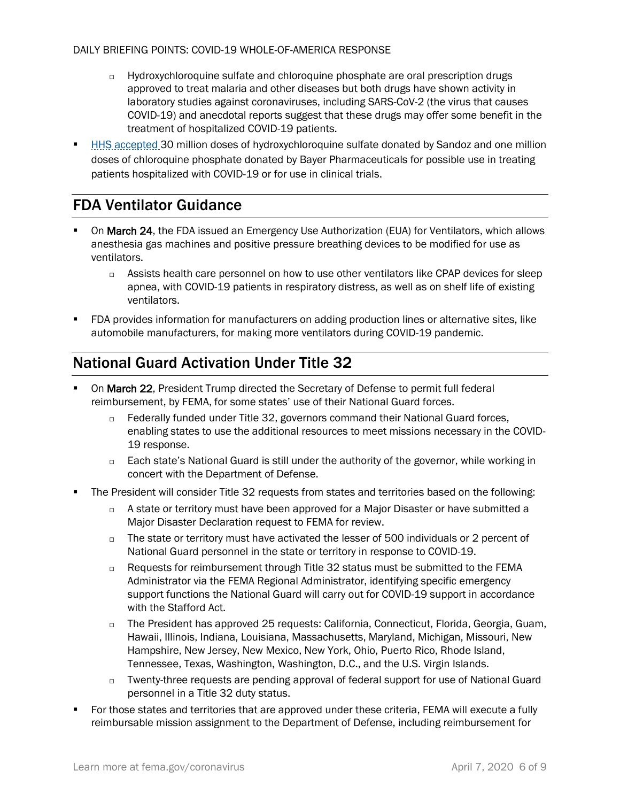- $\Box$  Hydroxychloroquine sulfate and chloroquine phosphate are oral prescription drugs approved to treat malaria and other diseases but both drugs have shown activity in laboratory studies against coronaviruses, including SARS-CoV-2 (the virus that causes COVID-19) and anecdotal reports suggest that these drugs may offer some benefit in the treatment of hospitalized COVID-19 patients.
- [HHS accepted](https://www.hhs.gov/about/news/2020/03/29/hhs-accepts-donations-of-medicine-to-strategic-national-stockpile-as-possible-treatments-for-covid-19-patients.html) 30 million doses of hydroxychloroquine sulfate donated by Sandoz and one million doses of chloroquine phosphate donated by Bayer Pharmaceuticals for possible use in treating patients hospitalized with COVID-19 or for use in clinical trials.

## FDA Ventilator Guidance

- On March 24, the FDA issued an [Emergency Use Authorization \(EUA\) for Ventilators,](https://www.fda.gov/medical-devices/emergency-situations-medical-devices/emergency-use-authorizations#covid19ventilators) which allows anesthesia gas machines and positive pressure breathing devices to be modified for use as ventilators.
	- $\Box$  Assists health care personnel on how to use other ventilators like CPAP devices for sleep apnea, with COVID-19 patients in respiratory distress, as well as on shelf life of existing ventilators.
- FDA provides information for manufacturers on adding production lines or alternative sites, like automobile manufacturers, for making more ventilators during COVID-19 pandemic.

#### National Guard Activation Under Title 32

- On March 22, President Trump directed the Secretary of Defense to permit full federal reimbursement, by FEMA, for some states' use of their National Guard forces.
	- □ Federally funded under Title 32, governors command their National Guard forces, enabling states to use the additional resources to meet missions necessary in the COVID-19 response.
	- □ Each state's National Guard is still under the authority of the governor, while working in concert with the Department of Defense.
- The President will consider Title 32 requests from states and territories based on the following:
	- $\Box$  A state or territory must have been approved for a Major Disaster or have submitted a Major Disaster Declaration request to FEMA for review.
	- $\Box$  The state or territory must have activated the lesser of 500 individuals or 2 percent of National Guard personnel in the state or territory in response to COVID-19.
	- □ Requests for reimbursement through Title 32 status must be submitted to the FEMA Administrator via the FEMA Regional Administrator, identifying specific emergency support functions the National Guard will carry out for COVID-19 support in accordance with the Stafford Act.
	- $\Box$  The President has approved 25 requests: California, Connecticut, Florida, Georgia, Guam, Hawaii, Illinois, Indiana, Louisiana, Massachusetts, Maryland, Michigan, Missouri, New Hampshire, New Jersey, New Mexico, New York, Ohio, Puerto Rico, Rhode Island, Tennessee, Texas, Washington, Washington, D.C., and the U.S. Virgin Islands.
	- $\Box$  Twenty-three requests are pending approval of federal support for use of National Guard personnel in a Title 32 duty status.
- For those states and territories that are approved under these criteria, FEMA will execute a fully reimbursable mission assignment to the Department of Defense, including reimbursement for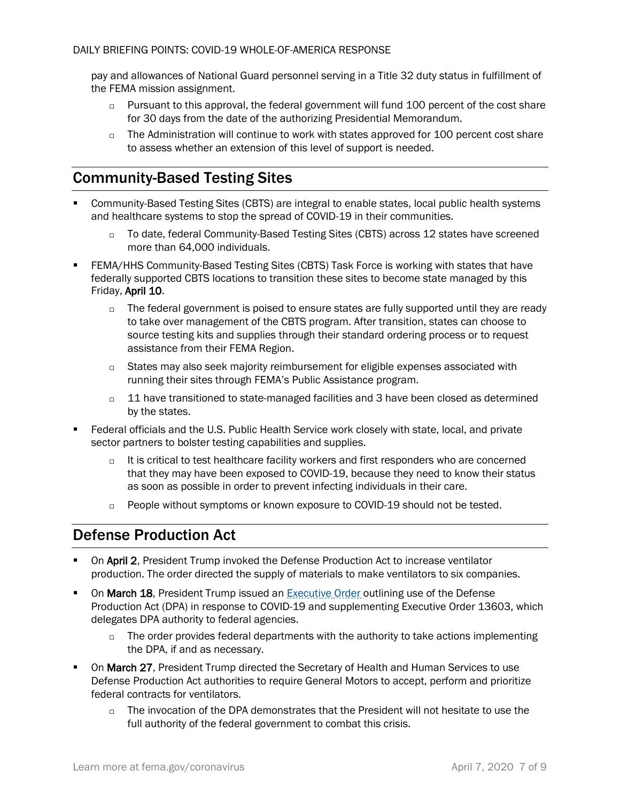pay and allowances of National Guard personnel serving in a Title 32 duty status in fulfillment of the FEMA mission assignment.

- $\Box$  Pursuant to this approval, the federal government will fund 100 percent of the cost share for 30 days from the date of the authorizing Presidential Memorandum.
- $\Box$  The Administration will continue to work with states approved for 100 percent cost share to assess whether an extension of this level of support is needed.

## Community-Based Testing Sites

- Community-Based Testing Sites (CBTS) are integral to enable states, local public health systems and healthcare systems to stop the spread of COVID-19 in their communities.
	- □ To date, federal Community-Based Testing Sites (CBTS) across 12 states have screened more than 64,000 individuals.
- FEMA/HHS Community-Based Testing Sites (CBTS) Task Force is working with states that have federally supported CBTS locations to transition these sites to become state managed by this Friday, April 10.
	- $\Box$  The federal government is poised to ensure states are fully supported until they are ready to take over management of the CBTS program. After transition, states can choose to source testing kits and supplies through their standard ordering process or to request assistance from their FEMA Region.
	- □ States may also seek majority reimbursement for eligible expenses associated with running their sites through FEMA's Public Assistance program.
	- $\Box$  11 have transitioned to state-managed facilities and 3 have been closed as determined by the states.
- Federal officials and the U.S. Public Health Service work closely with state, local, and private sector partners to bolster testing capabilities and supplies.
	- $\Box$  It is critical to test healthcare facility workers and first responders who are concerned that they may have been exposed to COVID-19, because they need to know their status as soon as possible in order to prevent infecting individuals in their care.
	- □ People without symptoms or known exposure to COVID-19 should not be tested.

## Defense Production Act

- On April 2, President Trump invoked the Defense Production Act to increase ventilator production. The order directed the supply of materials to make ventilators to six companies.
- On March 18, President Trump issued an **Executive Order outlining use of the Defense** Production Act (DPA) in response to COVID-19 and supplementing Executive [Order 13603,](https://www.govinfo.gov/content/pkg/FR-2012-03-22/pdf/2012-7019.pdf) which delegates DPA authority to federal agencies.
	- $\Box$  The order provides federal departments with the authority to take actions implementing the DPA, if and as necessary.
- On March 27, President Trump directed the Secretary of Health and Human Services to use Defense Production Act authorities to require General Motors to accept, perform and prioritize federal contracts for ventilators.
	- $\Box$  The invocation of the DPA demonstrates that the President will not hesitate to use the full authority of the federal government to combat this crisis.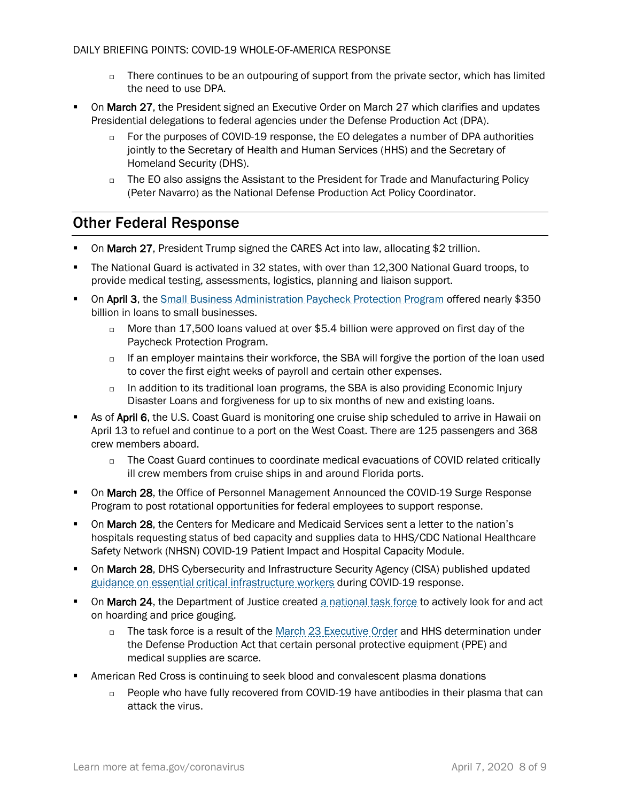- $\Box$  There continues to be an outpouring of support from the private sector, which has limited the need to use DPA.
- On March 27, the President signed an [Executive Order](https://www.whitehouse.gov/presidential-actions/eo-delegating-additional-authority-dpa-respect-health-medical-resources-respond-spread-covid-19/) on March 27 which clarifies and updates Presidential delegations to federal agencies under the Defense Production Act (DPA).
	- $\Box$  For the purposes of COVID-19 response, the EO delegates a number of DPA authorities jointly to the Secretary of Health and Human Services (HHS) and the Secretary of Homeland Security (DHS).
	- $\Box$  The EO also assigns the Assistant to the President for Trade and Manufacturing Policy (Peter Navarro) as the National Defense Production Act Policy Coordinator.

#### Other Federal Response

- On March 27, President Trump signed the CARES Act into law, allocating \$2 trillion.
- The National Guard is activated in 32 states, with over than 12,300 National Guard troops, to provide medical testing, assessments, logistics, planning and liaison support.
- **On April 3**, the [Small Business Administration Paycheck Protection Program](https://www.sba.gov/funding-programs/loans/coronavirus-relief-options/paycheck-protection-program-ppp) offered nearly \$350 billion in loans to small businesses.
	- □ More than 17,500 loans valued at over \$5.4 billion were approved on first day of the Paycheck Protection Program.
	- $\Box$  If an employer maintains their workforce, the SBA will forgive the portion of the loan used to cover the first eight weeks of payroll and certain other expenses.
	- $\Box$  In addition to its traditional loan programs, the SBA is also providing Economic Injury Disaster Loans and forgiveness for up to six months of new and existing loans.
- As of April 6, the U.S. Coast Guard is monitoring one cruise ship scheduled to arrive in Hawaii on April 13 to refuel and continue to a port on the West Coast. There are 125 passengers and 368 crew members aboard.
	- $\Box$  The Coast Guard continues to coordinate medical evacuations of COVID related critically ill crew members from cruise ships in and around Florida ports.
- **On March 28, the Office of Personnel Management Announced the COVID-19 Surge Response** Program to post rotational opportunities for federal employees to support response.
- **On March 28, the Centers for Medicare and Medicaid Services sent a letter to the nation's** hospitals requesting status of bed capacity and supplies data to HHS/CDC National Healthcare Safety Network (NHSN) COVID-19 Patient Impact and Hospital Capacity Module.
- **On March 28, DHS Cybersecurity and Infrastructure Security Agency (CISA) published updated** [guidance on essential critical infrastructure workers](https://www.cisa.gov/identifying-critical-infrastructure-during-covid-19) during COVID-19 response.
- **On March 24, the Department of Justice created [a national task force](https://www.justice.gov/file/1262776/download) to actively look for and act** on hoarding and price gouging.
	- □ The task force is a result of the [March 23 Executive Order](https://www.whitehouse.gov/presidential-actions/executive-order-preventing-hoarding-health-medical-resources-respond-spread-covid-19/) and HHS determination under the Defense Production Act that certain personal protective equipment (PPE) and medical supplies are scarce.
- American Red Cross is continuing to seek blood and convalescent plasma donations
	- $\Box$  People who have fully recovered from COVID-19 have antibodies in their plasma that can attack the virus.